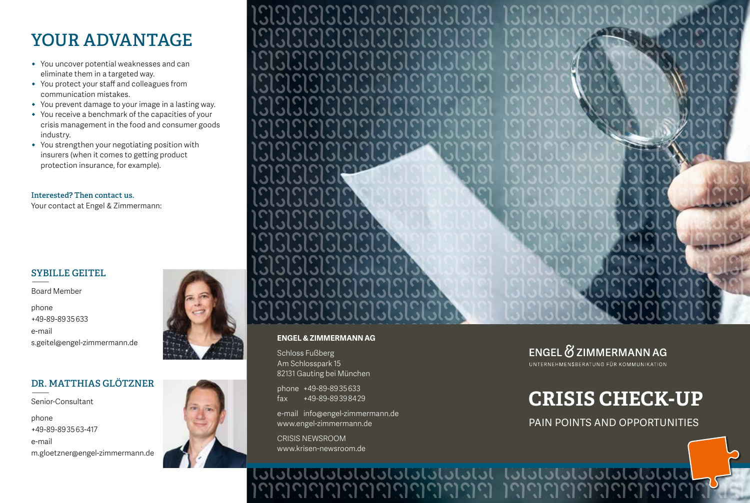### **YOUR ADVANTAGE**

- **ɒ** You uncover potential weaknesses and can eliminate them in a targeted way.
- **ɒ** You protect your staff and colleagues from communication mistakes.
- **ɒ** You prevent damage to your image in a lasting way.
- **ɒ** You receive a benchmark of the capacities of your crisis management in the food and consumer goods industry.
- **ɒ** You strengthen your negotiating position with insurers (when it comes to getting product protection insurance, for example).

#### **Interested? Then contact us.**

Your contact at Engel & Zimmermann:

# **SYBILLE GEITEL** —

Board Member

phone +49-89-89 35 633 e-mail s.geitel@engel-zimmermann.de

# **DR. MATTHIAS GLÖTZNER** —

Senior-Consultant

phone +49-89-89 35 63-417 e-mail m.gloetzner@engel-zimmermann.de





#### **ENGEL & ZIMMERMANN AG**

Schloss Fußberg Am Schlosspark 15 82131 Gauting bei München

phone +49-89-89 35 633 fax +49-89-89 39 84 29

e-mail info@engel-zimmermann.de www.engel-zimmermann.de

CRISIS NEWSROOM www.krisen-newsroom.de

### ENGEL & ZIMMERMANN AG

UNTERNEHMENSBERATUNG FÜR KOMMUNIKATION

# **CRISIS CHECK-UP**

PAIN POINTS AND OPPORTUNITIES